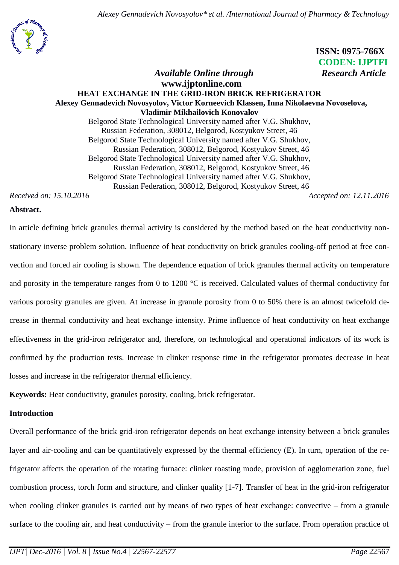

 **ISSN: 0975-766X CODEN: IJPTFI**

## *Available Online through* Research Article **www.ijptonline.com HEAT EXCHANGE IN THE GRID-IRON BRICK REFRIGERATOR Alexey Gennadevich Novosyolov, Victor Korneevich Klassen, Inna Nikolaevna Novoselova, Vladimir Mikhailovich Konovalov** Belgorod State Technological University named after V.G. Shukhov, Russian Federation, 308012, Belgorod, Kostyukov Street, 46 Belgorod State Technological University named after V.G. Shukhov, Russian Federation, 308012, Belgorod, Kostyukov Street, 46

Belgorod State Technological University named after V.G. Shukhov,

Russian Federation, 308012, Belgorod, Kostyukov Street, 46

Belgorod State Technological University named after V.G. Shukhov,

Russian Federation, 308012, Belgorod, Kostyukov Street, 46

*Received on: 15.10.2016 Accepted on: 12.11.2016*

### **Abstract.**

In article defining brick granules thermal activity is considered by the method based on the heat conductivity nonstationary inverse problem solution. Influence of heat conductivity on brick granules cooling-off period at free convection and forced air cooling is shown. The dependence equation of brick granules thermal activity on temperature and porosity in the temperature ranges from 0 to 1200 °C is received. Calculated values of thermal conductivity for various porosity granules are given. At increase in granule porosity from 0 to 50% there is an almost twicefold decrease in thermal conductivity and heat exchange intensity. Prime influence of heat conductivity on heat exchange effectiveness in the grid-iron refrigerator and, therefore, on technological and operational indicators of its work is confirmed by the production tests. Increase in clinker response time in the refrigerator promotes decrease in heat losses and increase in the refrigerator thermal efficiency.

**Keywords:** Heat conductivity, granules porosity, cooling, brick refrigerator.

## **Introduction**

Overall performance of the brick grid-iron refrigerator depends on heat exchange intensity between a brick granules layer and air-cooling and can be quantitatively expressed by the thermal efficiency (E). In turn, operation of the refrigerator affects the operation of the rotating furnace: clinker roasting mode, provision of agglomeration zone, fuel combustion process, torch form and structure, and clinker quality [1-7]. Transfer of heat in the grid-iron refrigerator when cooling clinker granules is carried out by means of two types of heat exchange: convective – from a granule surface to the cooling air, and heat conductivity – from the granule interior to the surface. From operation practice of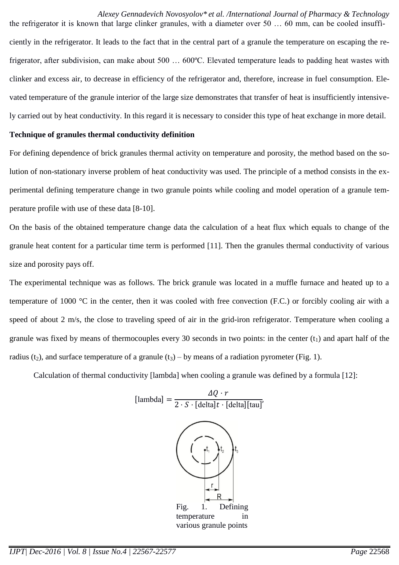the refrigerator it is known that large clinker granules, with a diameter over 50 … 60 mm, can be cooled insufficiently in the refrigerator. It leads to the fact that in the central part of a granule the temperature on escaping the refrigerator, after subdivision, can make about 500 … 600ºС. Elevated temperature leads to padding heat wastes with clinker and excess air, to decrease in efficiency of the refrigerator and, therefore, increase in fuel consumption. Elevated temperature of the granule interior of the large size demonstrates that transfer of heat is insufficiently intensively carried out by heat conductivity. In this regard it is necessary to consider this type of heat exchange in more detail.

#### **Technique of granules thermal conductivity definition**

For defining dependence of brick granules thermal activity on temperature and porosity, the method based on the solution of non-stationary inverse problem of heat conductivity was used. The principle of a method consists in the experimental defining temperature change in two granule points while cooling and model operation of a granule temperature profile with use of these data [8-10].

On the basis of the obtained temperature change data the calculation of a heat flux which equals to change of the granule heat content for a particular time term is performed [11]. Then the granules thermal conductivity of various size and porosity pays off.

The experimental technique was as follows. The brick granule was located in a muffle furnace and heated up to a temperature of 1000 °C in the center, then it was cooled with free convection (F.C.) or forcibly cooling air with a speed of about 2 m/s, the close to traveling speed of air in the grid-iron refrigerator. Temperature when cooling a granule was fixed by means of thermocouples every 30 seconds in two points: in the center  $(t_1)$  and apart half of the radius (t<sub>2</sub>), and surface temperature of a granule (t<sub>3</sub>) – by means of a radiation pyrometer (Fig. 1).

Calculation of thermal conductivity [lambda] when cooling a granule was defined by a formula [12]:

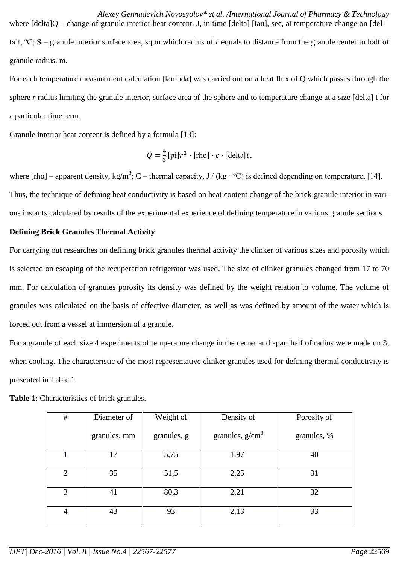*Alexey Gennadevich Novosyolov\* et al. /International Journal of Pharmacy & Technology* where  $[delta]Q - change of granule interior heat content, J, in time [delta] [tau], sec, at temperature change on [del$ ta]t, ºС; S – granule interior surface area, sq.m which radius of *r* equals to distance from the granule center to half of granule radius, m.

For each temperature measurement calculation [lambda] was carried out on a heat flux of Q which passes through the sphere *r* radius limiting the granule interior, surface area of the sphere and to temperature change at a size [delta] t for a particular time term.

Granule interior heat content is defined by a formula [13]:

$$
Q = \frac{4}{3} [\text{pi}] r^3 \cdot [\text{rho}] \cdot c \cdot [\text{delta}] t,
$$

where [rho] – apparent density, kg/m<sup>3</sup>; C – thermal capacity, J / (kg·°C) is defined depending on temperature, [14]. Thus, the technique of defining heat conductivity is based on heat content change of the brick granule interior in various instants calculated by results of the experimental experience of defining temperature in various granule sections.

# **Defining Brick Granules Thermal Activity**

For carrying out researches on defining brick granules thermal activity the clinker of various sizes and porosity which is selected on escaping of the recuperation refrigerator was used. The size of clinker granules changed from 17 to 70 mm. For calculation of granules porosity its density was defined by the weight relation to volume. The volume of granules was calculated on the basis of effective diameter, as well as was defined by amount of the water which is forced out from a vessel at immersion of a granule.

For a granule of each size 4 experiments of temperature change in the center and apart half of radius were made on 3, when cooling. The characteristic of the most representative clinker granules used for defining thermal conductivity is presented in Table 1.

| $\#$           | Diameter of  | Weight of   | Density of        | Porosity of |
|----------------|--------------|-------------|-------------------|-------------|
|                | granules, mm | granules, g | granules, $g/cm3$ | granules, % |
|                | 17           | 5,75        | 1,97              | 40          |
| 2              | 35           | 51,5        | 2,25              | 31          |
| 3              | 41           | 80,3        | 2,21              | 32          |
| $\overline{4}$ | 43           | 93          | 2,13              | 33          |

**Table 1:** Characteristics of brick granules.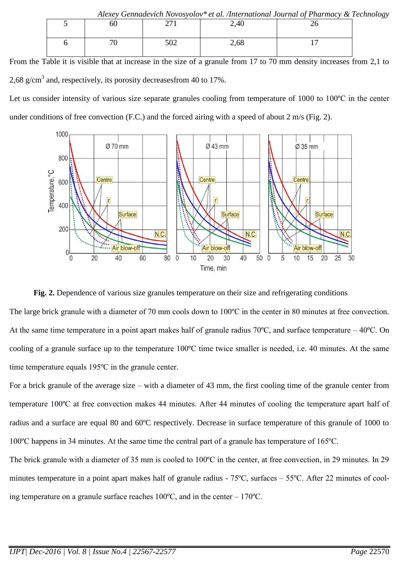| Alexey Gennadevich Novosyolov* et al. /International Journal of Pharmacy & Technology |    |     |             |  |  |  |
|---------------------------------------------------------------------------------------|----|-----|-------------|--|--|--|
|                                                                                       | 60 |     | $\angle 40$ |  |  |  |
|                                                                                       |    |     |             |  |  |  |
|                                                                                       |    | 502 | 2,68        |  |  |  |
|                                                                                       |    |     |             |  |  |  |
|                                                                                       |    |     |             |  |  |  |

From the Table it is visible that at increase in the size of a granule from 17 to 70 mm density increases from 2,1 to 2,68 g/cm<sup>3</sup> and, respectively, its porosity decreases from 40 to 17%.

Let us consider intensity of various size separate granules cooling from temperature of 1000 to 100ºС in the center under conditions of free convection (F.C.) and the forced airing with a speed of about 2 m/s (Fig. 2).



#### **Fig. 2.** Dependence of various size granules temperature on their size and refrigerating conditions

The large brick granule with a diameter of 70 mm cools down to 100°C in the center in 80 minutes at free convection. At the same time temperature in a point apart makes half of granule radius 70ºС, and surface temperature – 40ºС. On cooling of a granule surface up to the temperature 100ºС time twice smaller is needed, i.e. 40 minutes. At the same time temperature equals 195ºС in the granule center.

For a brick granule of the average size – with a diameter of 43 mm, the first cooling time of the granule center from temperature 100ºС at free convection makes 44 minutes. After 44 minutes of cooling the temperature apart half of radius and a surface are equal 80 and 60ºC respectively. Decrease in surface temperature of this granule of 1000 to 100ºС happens in 34 minutes. At the same time the central part of a granule has temperature of 165ºС.

The brick granule with a diameter of 35 mm is cooled to 100°C in the center, at free convection, in 29 minutes. In 29 minutes temperature in a point apart makes half of granule radius - 75°C, surfaces – 55°C. After 22 minutes of cooling temperature on a granule surface reaches 100ºС, and in the center – 170ºС.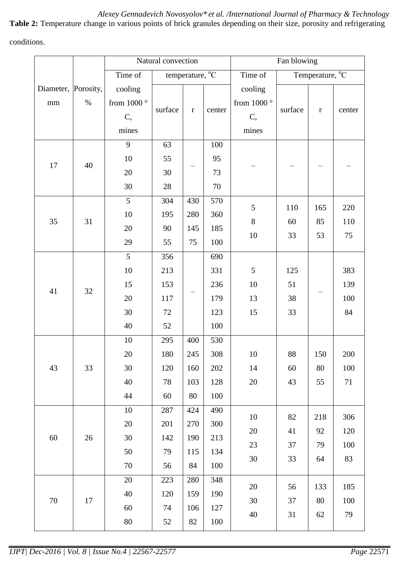**Table 2:** Temperature change in various points of brick granules depending on their size, porosity and refrigerating conditions.

|                           |      | Natural convection                               |                                     |             | Fan blowing |                                       |         |             |        |
|---------------------------|------|--------------------------------------------------|-------------------------------------|-------------|-------------|---------------------------------------|---------|-------------|--------|
|                           |      | Time of                                          | temperature, $\overline{^{\circ}C}$ |             | Time of     | Temperature, <sup>o</sup> C           |         |             |        |
| Diameter, Porosity,<br>mm | $\%$ | cooling<br>from 1000 $^{\circ}$<br>$\mathbf{C},$ | surface                             | $\mathbf r$ | center      | cooling<br>from 1000 $^{\circ}$<br>C, | surface | $\mathbf r$ | center |
|                           |      | mines                                            |                                     |             |             | mines                                 |         |             |        |
|                           |      | 9                                                | 63                                  |             | 100         |                                       |         |             |        |
|                           |      | 10                                               | 55                                  |             | 95          |                                       |         |             |        |
| 17                        | 40   | 20                                               | 30                                  |             | 73          |                                       |         |             |        |
|                           |      | 30                                               | 28                                  |             | 70          |                                       |         |             |        |
|                           |      | 5                                                | 304                                 | 430         | 570         | 5                                     | 110     | 165         | 220    |
| 35                        | 31   | $10\,$                                           | 195                                 | 280         | 360         | $8\,$                                 | 60      | 85          | 110    |
|                           |      | 20                                               | 90                                  | 145         | 185         | $10\,$                                | 33      | 53          | 75     |
|                           |      | 29                                               | 55                                  | 75          | 100         |                                       |         |             |        |
|                           | 32   | 5                                                | 356                                 |             | 690         |                                       |         |             |        |
|                           |      | $10\,$                                           | 213                                 |             | 331         | 5                                     | 125     |             | 383    |
| 41                        |      | 15                                               | 153                                 |             | 236         | $10\,$                                | 51      |             | 139    |
|                           |      | 20                                               | 117                                 |             | 179         | 13                                    | 38      |             | 100    |
|                           |      | 30                                               | 72                                  |             | 123         | 15                                    | 33      |             | 84     |
|                           |      | 40                                               | 52                                  |             | 100         |                                       |         |             |        |
|                           |      | $10\,$                                           | 295                                 | 400         | 530         |                                       |         |             |        |
|                           | 33   | $20\,$                                           | 180                                 | 245         | 308         | 10                                    | $88\,$  | 150         | 200    |
| 43                        |      | 30                                               | 120                                 | 160         | 202         | 14                                    | 60      | 80          | 100    |
|                           |      | 40                                               | 78                                  | 103         | 128         | $20\,$                                | 43      | 55          | $71\,$ |
|                           |      | 44                                               | 60                                  | 80          | 100         |                                       |         |             |        |
|                           | 26   | 10                                               | 287                                 | 424         | 490         | $10\,$                                | 82      | 218         | 306    |
|                           |      | 20                                               | 201                                 | 270         | 300         | 20                                    | 41      | 92          | 120    |
| 60                        |      | 30                                               | 142                                 | 190<br>115  | 213         | 23<br>30                              | 37      | 79          | 100    |
|                           |      | 50                                               | 79                                  |             | 134         |                                       | 33      | 64          | 83     |
|                           |      | 70                                               | 56                                  | 84          | 100         |                                       |         |             |        |
|                           | 17   | 20                                               | 223                                 | 280         | 348         | $20\,$                                | 56      | 133         | 185    |
| 70                        |      | 40                                               | 120                                 | 159<br>106  | 190         | 30                                    | 37      | 80          | 100    |
|                           |      | 60                                               | 74                                  |             | 127         | 40                                    | 31      | $62\,$      | 79     |
|                           |      | $80\,$                                           | 52                                  | 82          | 100         |                                       |         |             |        |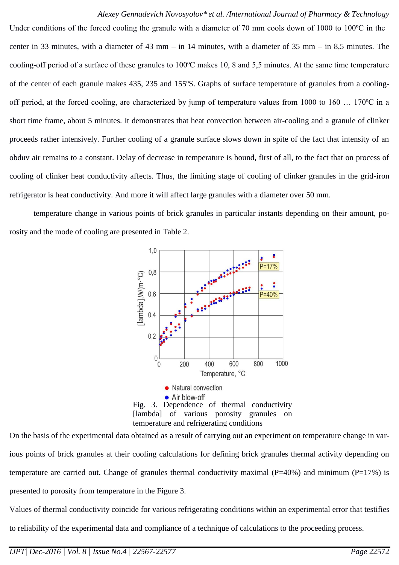Under conditions of the forced cooling the granule with a diameter of 70 mm cools down of 1000 to 100 °C in the center in 33 minutes, with a diameter of 43 mm – in 14 minutes, with a diameter of 35 mm – in 8,5 minutes. The cooling-off period of a surface of these granules to 100ºС makes 10, 8 and 5,5 minutes. At the same time temperature of the center of each granule makes 435, 235 and 155ºS. Graphs of surface temperature of granules from a coolingoff period, at the forced cooling, are characterized by jump of temperature values from 1000 to 160 … 170ºС in a short time frame, about 5 minutes. It demonstrates that heat convection between air-cooling and a granule of clinker proceeds rather intensively. Further cooling of a granule surface slows down in spite of the fact that intensity of an obduv air remains to a constant. Delay of decrease in temperature is bound, first of all, to the fact that on process of cooling of clinker heat conductivity affects. Thus, the limiting stage of cooling of clinker granules in the grid-iron refrigerator is heat conductivity. And more it will affect large granules with a diameter over 50 mm.

temperature change in various points of brick granules in particular instants depending on their amount, porosity and the mode of cooling are presented in Table 2.



On the basis of the experimental data obtained as a result of carrying out an experiment on temperature change in various points of brick granules at their cooling calculations for defining brick granules thermal activity depending on temperature are carried out. Change of granules thermal conductivity maximal (P=40%) and minimum (P=17%) is presented to porosity from temperature in the Figure 3.

Values of thermal conductivity coincide for various refrigerating conditions within an experimental error that testifies to reliability of the experimental data and compliance of a technique of calculations to the proceeding process.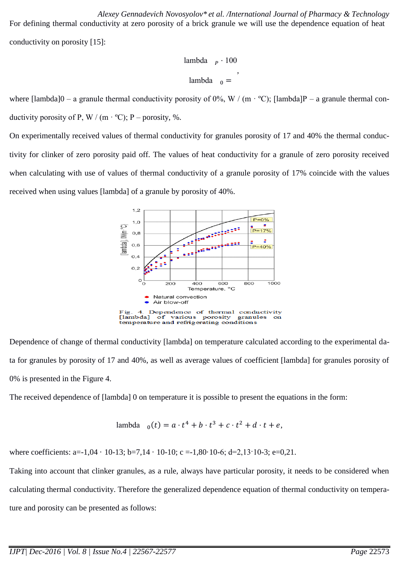*Alexey Gennadevich Novosyolov\* et al. /International Journal of Pharmacy & Technology* For defining thermal conductivity at zero porosity of a brick granule we will use the dependence equation of heat conductivity on porosity [15]:

> lambda  $_p \cdot 100$ lambda ,

where  $\text{Ilambda}[0 - a \text{ granule thermal conductivity porosity of } 0\%, W / (m \cdot {}^{\circ}\text{C})$ ;  $\text{Ilambda}[P - a \text{ granule thermal con-}$ ductivity porosity of P, W / (m  $\cdot$  °C); P – porosity, %.

On experimentally received values of thermal conductivity for granules porosity of 17 and 40% the thermal conductivity for clinker of zero porosity paid off. The values of heat conductivity for a granule of zero porosity received when calculating with use of values of thermal conductivity of a granule porosity of 17% coincide with the values received when using values [lambda] of a granule by porosity of 40%.



Dependence of change of thermal conductivity [lambda] on temperature calculated according to the experimental data for granules by porosity of 17 and 40%, as well as average values of coefficient [lambda] for granules porosity of 0% is presented in the Figure 4.

The received dependence of [lambda] 0 on temperature it is possible to present the equations in the form:

$$
lambda_{0}(t) = a \cdot t^{4} + b \cdot t^{3} + c \cdot t^{2} + d \cdot t + e,
$$

where coefficients: a=-1,04  $\cdot$  10-13; b=7,14  $\cdot$  10-10; c =-1,80 $\cdot$ 10-6; d=2,13 $\cdot$ 10-3; e=0,21.

Taking into account that clinker granules, as a rule, always have particular porosity, it needs to be considered when calculating thermal conductivity. Therefore the generalized dependence equation of thermal conductivity on temperature and porosity can be presented as follows: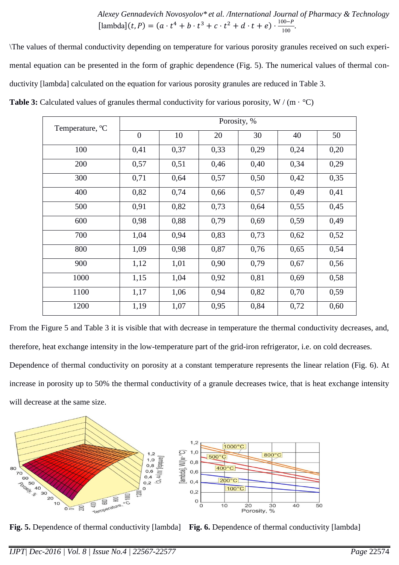*Alexey Gennadevich Novosyolov\* et al. /International Journal of Pharmacy & Technology* [lambda](*t*, *P*) =  $(a \cdot t^4 + b \cdot t^3 + c \cdot t^2 + d \cdot t + e) \cdot \frac{100 - 100}{100}$  $\frac{100-r}{100}$ 

\The values of thermal conductivity depending on temperature for various porosity granules received on such experimental equation can be presented in the form of graphic dependence (Fig. 5). The numerical values of thermal conductivity [lambda] calculated on the equation for various porosity granules are reduced in Table 3.

**Table 3:** Calculated values of granules thermal conductivity for various porosity, W / (m  $\cdot$  °C)

| Temperature, <sup>o</sup> C | Porosity, %    |      |      |      |      |      |  |  |
|-----------------------------|----------------|------|------|------|------|------|--|--|
|                             | $\overline{0}$ | 10   | 20   | 30   | 40   | 50   |  |  |
| 100                         | 0,41           | 0,37 | 0,33 | 0,29 | 0,24 | 0,20 |  |  |
| 200                         | 0,57           | 0,51 | 0,46 | 0,40 | 0,34 | 0,29 |  |  |
| 300                         | 0,71           | 0,64 | 0,57 | 0,50 | 0,42 | 0,35 |  |  |
| 400                         | 0,82           | 0,74 | 0,66 | 0,57 | 0,49 | 0,41 |  |  |
| 500                         | 0,91           | 0,82 | 0,73 | 0,64 | 0,55 | 0,45 |  |  |
| 600                         | 0,98           | 0,88 | 0,79 | 0,69 | 0,59 | 0,49 |  |  |
| 700                         | 1,04           | 0,94 | 0,83 | 0,73 | 0,62 | 0,52 |  |  |
| 800                         | 1,09           | 0,98 | 0,87 | 0,76 | 0,65 | 0,54 |  |  |
| 900                         | 1,12           | 1,01 | 0,90 | 0,79 | 0,67 | 0,56 |  |  |
| 1000                        | 1,15           | 1,04 | 0,92 | 0,81 | 0,69 | 0,58 |  |  |
| 1100                        | 1,17           | 1,06 | 0,94 | 0,82 | 0,70 | 0,59 |  |  |
| 1200                        | 1,19           | 1,07 | 0,95 | 0,84 | 0,72 | 0,60 |  |  |

From the Figure 5 and Table 3 it is visible that with decrease in temperature the thermal conductivity decreases, and, therefore, heat exchange intensity in the low-temperature part of the grid-iron refrigerator, i.e. on cold decreases. Dependence of thermal conductivity on porosity at a constant temperature represents the linear relation (Fig. 6). At increase in porosity up to 50% the thermal conductivity of a granule decreases twice, that is heat exchange intensity will decrease at the same size.



**Fig. 5.** Dependence of thermal conductivity [lambda] **Fig. 6.** Dependence of thermal conductivity [lambda]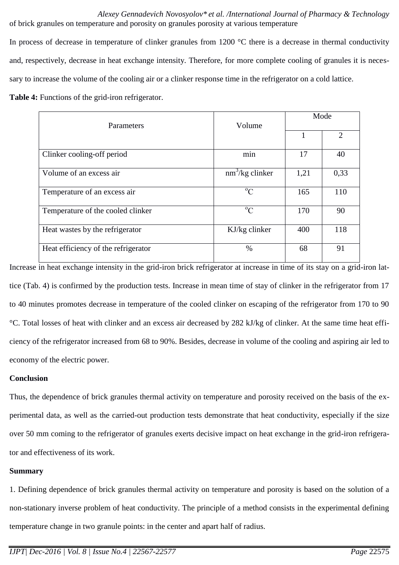*Alexey Gennadevich Novosyolov\* et al. /International Journal of Pharmacy & Technology* of brick granules on temperature and porosity on granules porosity at various temperature

In process of decrease in temperature of clinker granules from 1200 °C there is a decrease in thermal conductivity and, respectively, decrease in heat exchange intensity. Therefore, for more complete cooling of granules it is necessary to increase the volume of the cooling air or a clinker response time in the refrigerator on a cold lattice.

**Table 4:** Functions of the grid-iron refrigerator.

| Parameters                          | Volume            | Mode |      |  |
|-------------------------------------|-------------------|------|------|--|
|                                     |                   |      | 2    |  |
| Clinker cooling-off period          | min               | 17   | 40   |  |
| Volume of an excess air             | $nm^3/kg$ clinker | 1,21 | 0,33 |  |
| Temperature of an excess air        | $^{\circ}C$       | 165  | 110  |  |
| Temperature of the cooled clinker   | $^{\circ}C$       | 170  | 90   |  |
| Heat wastes by the refrigerator     | KJ/kg clinker     | 400  | 118  |  |
| Heat efficiency of the refrigerator | $\%$              | 68   | 91   |  |

Increase in heat exchange intensity in the grid-iron brick refrigerator at increase in time of its stay on a grid-iron lattice (Tab. 4) is confirmed by the production tests. Increase in mean time of stay of clinker in the refrigerator from 17 to 40 minutes promotes decrease in temperature of the cooled clinker on escaping of the refrigerator from 170 to 90 °C. Total losses of heat with clinker and an excess air decreased by 282 kJ/kg of clinker. At the same time heat efficiency of the refrigerator increased from 68 to 90%. Besides, decrease in volume of the cooling and aspiring air led to economy of the electric power.

# **Conclusion**

Thus, the dependence of brick granules thermal activity on temperature and porosity received on the basis of the experimental data, as well as the carried-out production tests demonstrate that heat conductivity, especially if the size over 50 mm coming to the refrigerator of granules exerts decisive impact on heat exchange in the grid-iron refrigerator and effectiveness of its work.

## **Summary**

1. Defining dependence of brick granules thermal activity on temperature and porosity is based on the solution of a non-stationary inverse problem of heat conductivity. The principle of a method consists in the experimental defining temperature change in two granule points: in the center and apart half of radius.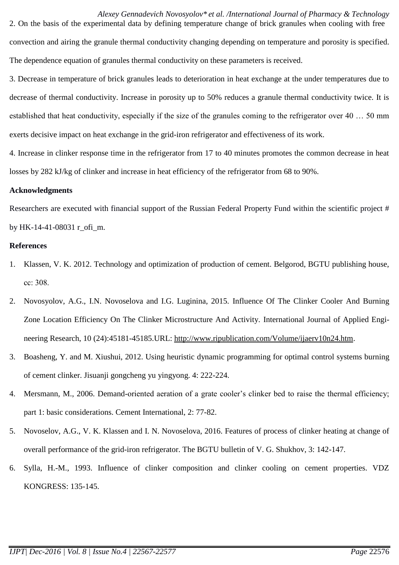2. On the basis of the experimental data by defining temperature change of brick granules when cooling with free convection and airing the granule thermal conductivity changing depending on temperature and porosity is specified. The dependence equation of granules thermal conductivity on these parameters is received.

3. Decrease in temperature of brick granules leads to deterioration in heat exchange at the under temperatures due to decrease of thermal conductivity. Increase in porosity up to 50% reduces a granule thermal conductivity twice. It is established that heat conductivity, especially if the size of the granules coming to the refrigerator over 40 … 50 mm exerts decisive impact on heat exchange in the grid-iron refrigerator and effectiveness of its work.

4. Increase in clinker response time in the refrigerator from 17 to 40 minutes promotes the common decrease in heat losses by 282 kJ/kg of clinker and increase in heat efficiency of the refrigerator from 68 to 90%.

### **Acknowledgments**

Researchers are executed with financial support of the Russian Federal Property Fund within the scientific project # by HK-14-41-08031 r\_ofi\_m.

## **References**

- 1. Klassen, V. K. 2012. Technology and optimization of production of cement. Belgorod, BGTU publishing house, сс: 308.
- 2. Novosyolov, A.G., I.N. Novoselova and I.G. Luginina, 2015. Influence Of The Clinker Cooler And Burning Zone Location Efficiency On The Clinker Microstructure And Activity. International Journal of Applied Engineering Research, 10 (24):45181-45185.URL: [http://www.ripublication.com/Volume/ijaerv10n24.htm.](http://www.ripublication.com/Volume/ijaerv10n24.htm)
- 3. Boasheng, Y. and M. Xiushui, 2012. Using heuristic dynamic programming for optimal control systems burning of cement clinker. Jisuanji gongcheng yu yingyong. 4: 222-224.
- 4. Mersmann, M., 2006. Demand-oriented aeration of a grate cooler's clinker bed to raise the thermal efficiency; part 1: basic considerations. Cement International, 2: 77-82.
- 5. Novoselov, A.G., V. K. Klassen and I. N. Novoselova, 2016. Features of process of clinker heating at change of overall performance of the grid-iron refrigerator. The BGTU bulletin of V. G. Shukhov, 3: 142-147.
- 6. Sylla, H.-M., 1993. Influence of clinker composition and clinker cooling on cement properties. VDZ KONGRESS: 135-145.